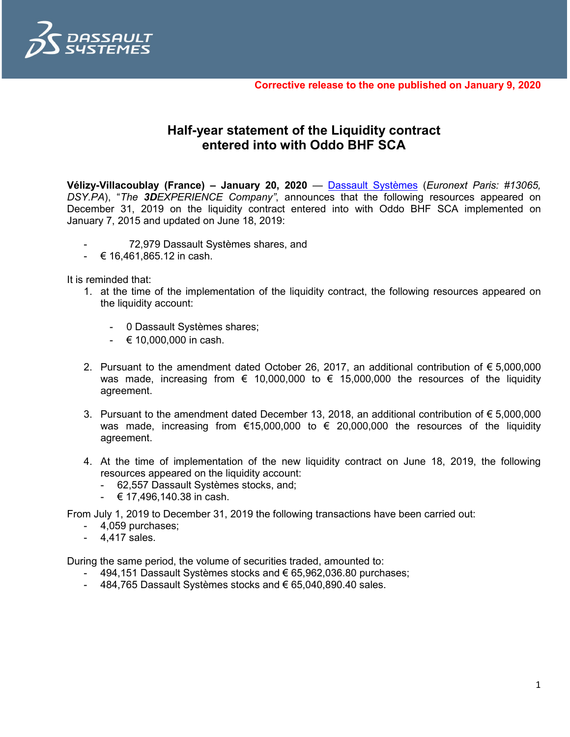

**Corrective release to the one published on January 9, 2020**

## **Half-year statement of the Liquidity contract entered into with Oddo BHF SCA**

**Vélizy-Villacoublay (France) – January 20, 2020** — [Dassault Systèmes](http://www.3ds.com/) (*Euronext Paris: #13065, DSY.PA*), "*The 3DEXPERIENCE Company"*, announces that the following resources appeared on December 31, 2019 on the liquidity contract entered into with Oddo BHF SCA implemented on January 7, 2015 and updated on June 18, 2019:

- 72,979 Dassault Systèmes shares, and
- $-$  € 16,461,865.12 in cash.

It is reminded that:

- 1. at the time of the implementation of the liquidity contract, the following resources appeared on the liquidity account:
	- 0 Dassault Systèmes shares;
	- $610,000,000$  in cash.
- 2. Pursuant to the amendment dated October 26, 2017, an additional contribution of € 5,000,000 was made, increasing from  $\epsilon$  10,000,000 to  $\epsilon$  15,000,000 the resources of the liquidity agreement.
- 3. Pursuant to the amendment dated December 13, 2018, an additional contribution of € 5,000,000 was made, increasing from  $\epsilon$ 15,000,000 to  $\epsilon$  20,000,000 the resources of the liquidity agreement.
- 4. At the time of implementation of the new liquidity contract on June 18, 2019, the following resources appeared on the liquidity account:
	- 62,557 Dassault Systèmes stocks, and;
	- $\div$  € 17,496,140.38 in cash.

From July 1, 2019 to December 31, 2019 the following transactions have been carried out:

- 4,059 purchases;
- 4,417 sales.

During the same period, the volume of securities traded, amounted to:

- 494,151 Dassault Systèmes stocks and € 65,962,036.80 purchases;
- 484,765 Dassault Systèmes stocks and € 65,040,890.40 sales.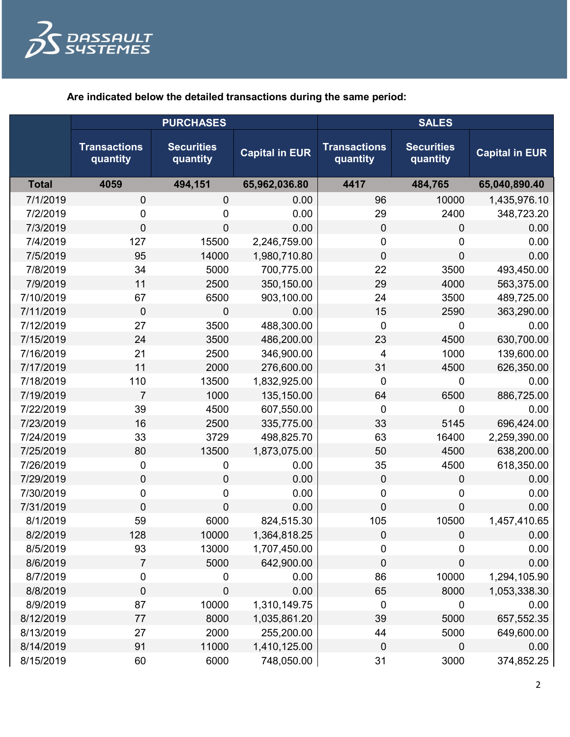

**Are indicated below the detailed transactions during the same period:**

|              | <b>PURCHASES</b>                |                               |                       | <b>SALES</b>                    |                               |                       |
|--------------|---------------------------------|-------------------------------|-----------------------|---------------------------------|-------------------------------|-----------------------|
|              | <b>Transactions</b><br>quantity | <b>Securities</b><br>quantity | <b>Capital in EUR</b> | <b>Transactions</b><br>quantity | <b>Securities</b><br>quantity | <b>Capital in EUR</b> |
| <b>Total</b> | 4059                            | 494,151                       | 65,962,036.80         | 4417                            | 484,765                       | 65,040,890.40         |
| 7/1/2019     | $\pmb{0}$                       | 0                             | 0.00                  | 96                              | 10000                         | 1,435,976.10          |
| 7/2/2019     | 0                               | 0                             | 0.00                  | 29                              | 2400                          | 348,723.20            |
| 7/3/2019     | $\mathbf 0$                     | 0                             | 0.00                  | $\mathbf 0$                     | 0                             | 0.00                  |
| 7/4/2019     | 127                             | 15500                         | 2,246,759.00          | 0                               | 0                             | 0.00                  |
| 7/5/2019     | 95                              | 14000                         | 1,980,710.80          | $\overline{0}$                  | 0                             | 0.00                  |
| 7/8/2019     | 34                              | 5000                          | 700,775.00            | 22                              | 3500                          | 493,450.00            |
| 7/9/2019     | 11                              | 2500                          | 350,150.00            | 29                              | 4000                          | 563,375.00            |
| 7/10/2019    | 67                              | 6500                          | 903,100.00            | 24                              | 3500                          | 489,725.00            |
| 7/11/2019    | $\mathbf 0$                     | $\overline{0}$                | 0.00                  | 15                              | 2590                          | 363,290.00            |
| 7/12/2019    | 27                              | 3500                          | 488,300.00            | $\mathbf 0$                     | 0                             | 0.00                  |
| 7/15/2019    | 24                              | 3500                          | 486,200.00            | 23                              | 4500                          | 630,700.00            |
| 7/16/2019    | 21                              | 2500                          | 346,900.00            | $\overline{4}$                  | 1000                          | 139,600.00            |
| 7/17/2019    | 11                              | 2000                          | 276,600.00            | 31                              | 4500                          | 626,350.00            |
| 7/18/2019    | 110                             | 13500                         | 1,832,925.00          | $\mathbf 0$                     | 0                             | 0.00                  |
| 7/19/2019    | $\overline{7}$                  | 1000                          | 135,150.00            | 64                              | 6500                          | 886,725.00            |
| 7/22/2019    | 39                              | 4500                          | 607,550.00            | $\mathbf 0$                     | 0                             | 0.00                  |
| 7/23/2019    | 16                              | 2500                          | 335,775.00            | 33                              | 5145                          | 696,424.00            |
| 7/24/2019    | 33                              | 3729                          | 498,825.70            | 63                              | 16400                         | 2,259,390.00          |
| 7/25/2019    | 80                              | 13500                         | 1,873,075.00          | 50                              | 4500                          | 638,200.00            |
| 7/26/2019    | $\pmb{0}$                       | 0                             | 0.00                  | 35                              | 4500                          | 618,350.00            |
| 7/29/2019    | $\pmb{0}$                       | $\mathbf 0$                   | 0.00                  | $\mathbf 0$                     | 0                             | 0.00                  |
| 7/30/2019    | $\pmb{0}$                       | 0                             | 0.00                  | $\mathbf 0$                     | 0                             | 0.00                  |
| 7/31/2019    | $\mathbf 0$                     | 0                             | 0.00                  | $\overline{0}$                  | 0                             | 0.00                  |
| 8/1/2019     | 59                              | 6000                          | 824,515.30            | 105                             | 10500                         | 1,457,410.65          |
| 8/2/2019     | 128                             | 10000                         | 1,364,818.25          | 0                               | 0                             | 0.00                  |
| 8/5/2019     | 93                              | 13000                         | 1,707,450.00          | 0                               | 0                             | 0.00                  |
| 8/6/2019     | 7                               | 5000                          | 642,900.00            | $\mathbf 0$                     | 0                             | 0.00                  |
| 8/7/2019     | $\pmb{0}$                       | 0                             | 0.00                  | 86                              | 10000                         | 1,294,105.90          |
| 8/8/2019     | $\pmb{0}$                       | 0                             | 0.00                  | 65                              | 8000                          | 1,053,338.30          |
| 8/9/2019     | 87                              | 10000                         | 1,310,149.75          | $\mathbf 0$                     | $\mathbf 0$                   | 0.00                  |
| 8/12/2019    | 77                              | 8000                          | 1,035,861.20          | 39                              | 5000                          | 657,552.35            |
| 8/13/2019    | 27                              | 2000                          | 255,200.00            | 44                              | 5000                          | 649,600.00            |
| 8/14/2019    | 91                              | 11000                         | 1,410,125.00          | $\mathbf 0$                     | 0                             | 0.00                  |
| 8/15/2019    | 60                              | 6000                          | 748,050.00            | 31                              | 3000                          | 374,852.25            |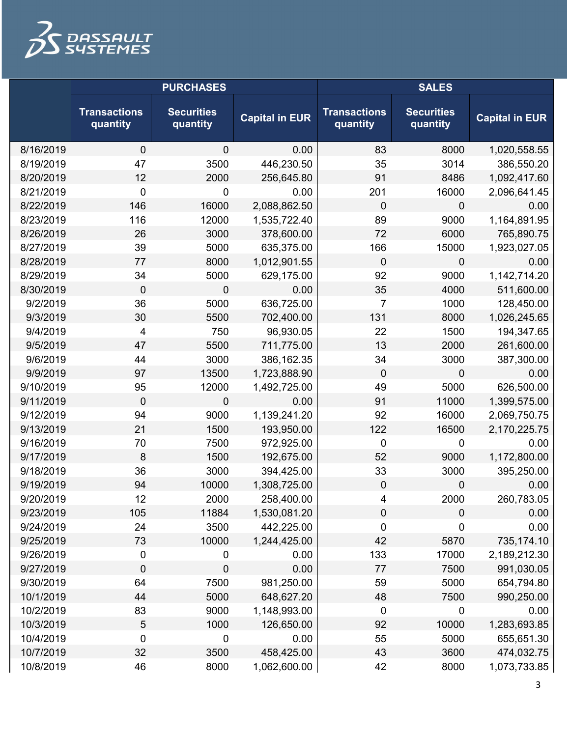

|           | <b>PURCHASES</b>                |                               |                       | <b>SALES</b>                    |                               |                       |
|-----------|---------------------------------|-------------------------------|-----------------------|---------------------------------|-------------------------------|-----------------------|
|           | <b>Transactions</b><br>quantity | <b>Securities</b><br>quantity | <b>Capital in EUR</b> | <b>Transactions</b><br>quantity | <b>Securities</b><br>quantity | <b>Capital in EUR</b> |
| 8/16/2019 | 0                               | $\mathbf 0$                   | 0.00                  | 83                              | 8000                          | 1,020,558.55          |
| 8/19/2019 | 47                              | 3500                          | 446,230.50            | 35                              | 3014                          | 386,550.20            |
| 8/20/2019 | 12                              | 2000                          | 256,645.80            | 91                              | 8486                          | 1,092,417.60          |
| 8/21/2019 | 0                               | 0                             | 0.00                  | 201                             | 16000                         | 2,096,641.45          |
| 8/22/2019 | 146                             | 16000                         | 2,088,862.50          | $\mathbf 0$                     | 0                             | 0.00                  |
| 8/23/2019 | 116                             | 12000                         | 1,535,722.40          | 89                              | 9000                          | 1,164,891.95          |
| 8/26/2019 | 26                              | 3000                          | 378,600.00            | 72                              | 6000                          | 765,890.75            |
| 8/27/2019 | 39                              | 5000                          | 635,375.00            | 166                             | 15000                         | 1,923,027.05          |
| 8/28/2019 | 77                              | 8000                          | 1,012,901.55          | $\mathbf 0$                     | 0                             | 0.00                  |
| 8/29/2019 | 34                              | 5000                          | 629,175.00            | 92                              | 9000                          | 1,142,714.20          |
| 8/30/2019 | 0                               | 0                             | 0.00                  | 35                              | 4000                          | 511,600.00            |
| 9/2/2019  | 36                              | 5000                          | 636,725.00            | 7                               | 1000                          | 128,450.00            |
| 9/3/2019  | 30                              | 5500                          | 702,400.00            | 131                             | 8000                          | 1,026,245.65          |
| 9/4/2019  | 4                               | 750                           | 96,930.05             | 22                              | 1500                          | 194,347.65            |
| 9/5/2019  | 47                              | 5500                          | 711,775.00            | 13                              | 2000                          | 261,600.00            |
| 9/6/2019  | 44                              | 3000                          | 386,162.35            | 34                              | 3000                          | 387,300.00            |
| 9/9/2019  | 97                              | 13500                         | 1,723,888.90          | $\mathbf 0$                     | 0                             | 0.00                  |
| 9/10/2019 | 95                              | 12000                         | 1,492,725.00          | 49                              | 5000                          | 626,500.00            |
| 9/11/2019 | 0                               | 0                             | 0.00                  | 91                              | 11000                         | 1,399,575.00          |
| 9/12/2019 | 94                              | 9000                          | 1,139,241.20          | 92                              | 16000                         | 2,069,750.75          |
| 9/13/2019 | 21                              | 1500                          | 193,950.00            | 122                             | 16500                         | 2,170,225.75          |
| 9/16/2019 | 70                              | 7500                          | 972,925.00            | $\mathbf 0$                     | 0                             | 0.00                  |
| 9/17/2019 | 8                               | 1500                          | 192,675.00            | 52                              | 9000                          | 1,172,800.00          |
| 9/18/2019 | 36                              | 3000                          | 394,425.00            | 33                              | 3000                          | 395,250.00            |
| 9/19/2019 | 94                              | 10000                         | 1,308,725.00          | $\mathbf 0$                     | 0                             | 0.00                  |
| 9/20/2019 | 12                              | 2000                          | 258,400.00            | 4                               | 2000                          | 260,783.05            |
| 9/23/2019 | 105                             | 11884                         | 1,530,081.20          | $\mathbf 0$                     | 0                             | 0.00                  |
| 9/24/2019 | 24                              | 3500                          | 442,225.00            | $\mathbf 0$                     | 0                             | 0.00                  |
| 9/25/2019 | 73                              | 10000                         | 1,244,425.00          | 42                              | 5870                          | 735,174.10            |
| 9/26/2019 | 0                               | 0                             | 0.00                  | 133                             | 17000                         | 2,189,212.30          |
| 9/27/2019 | 0                               | 0                             | 0.00                  | 77                              | 7500                          | 991,030.05            |
| 9/30/2019 | 64                              | 7500                          | 981,250.00            | 59                              | 5000                          | 654,794.80            |
| 10/1/2019 | 44                              | 5000                          | 648,627.20            | 48                              | 7500                          | 990,250.00            |
| 10/2/2019 | 83                              | 9000                          | 1,148,993.00          | 0                               | 0                             | 0.00                  |
| 10/3/2019 | $\sqrt{5}$                      | 1000                          | 126,650.00            | 92                              | 10000                         | 1,283,693.85          |
| 10/4/2019 | 0                               | $\mathbf 0$                   | 0.00                  | 55                              | 5000                          | 655,651.30            |
| 10/7/2019 | 32                              | 3500                          | 458,425.00            | 43                              | 3600                          | 474,032.75            |
| 10/8/2019 | 46                              | 8000                          | 1,062,600.00          | 42                              | 8000                          | 1,073,733.85          |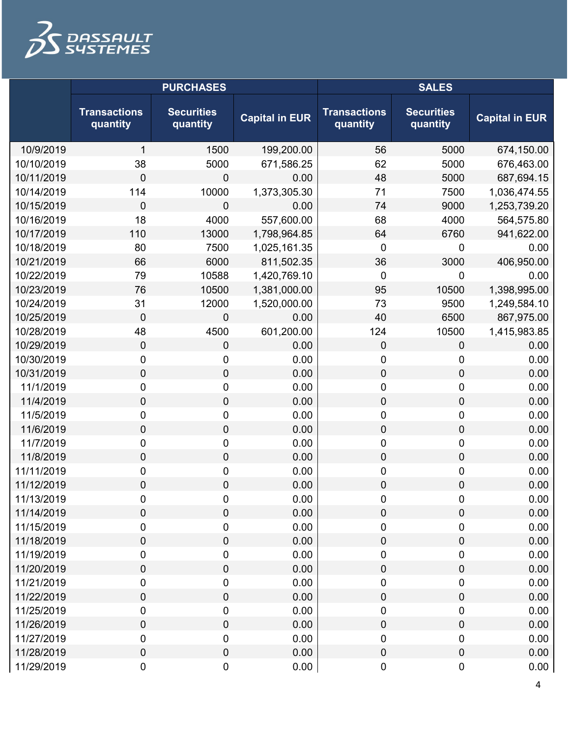

|            | <b>PURCHASES</b>                |                               |                       | <b>SALES</b>                    |                               |                       |
|------------|---------------------------------|-------------------------------|-----------------------|---------------------------------|-------------------------------|-----------------------|
|            | <b>Transactions</b><br>quantity | <b>Securities</b><br>quantity | <b>Capital in EUR</b> | <b>Transactions</b><br>quantity | <b>Securities</b><br>quantity | <b>Capital in EUR</b> |
| 10/9/2019  | 1                               | 1500                          | 199,200.00            | 56                              | 5000                          | 674,150.00            |
| 10/10/2019 | 38                              | 5000                          | 671,586.25            | 62                              | 5000                          | 676,463.00            |
| 10/11/2019 | 0                               | $\mathbf 0$                   | 0.00                  | 48                              | 5000                          | 687,694.15            |
| 10/14/2019 | 114                             | 10000                         | 1,373,305.30          | 71                              | 7500                          | 1,036,474.55          |
| 10/15/2019 | 0                               | $\mathbf 0$                   | 0.00                  | 74                              | 9000                          | 1,253,739.20          |
| 10/16/2019 | 18                              | 4000                          | 557,600.00            | 68                              | 4000                          | 564,575.80            |
| 10/17/2019 | 110                             | 13000                         | 1,798,964.85          | 64                              | 6760                          | 941,622.00            |
| 10/18/2019 | 80                              | 7500                          | 1,025,161.35          | 0                               | 0                             | 0.00                  |
| 10/21/2019 | 66                              | 6000                          | 811,502.35            | 36                              | 3000                          | 406,950.00            |
| 10/22/2019 | 79                              | 10588                         | 1,420,769.10          | $\mathbf 0$                     | 0                             | 0.00                  |
| 10/23/2019 | 76                              | 10500                         | 1,381,000.00          | 95                              | 10500                         | 1,398,995.00          |
| 10/24/2019 | 31                              | 12000                         | 1,520,000.00          | 73                              | 9500                          | 1,249,584.10          |
| 10/25/2019 | 0                               | $\mathbf 0$                   | 0.00                  | 40                              | 6500                          | 867,975.00            |
| 10/28/2019 | 48                              | 4500                          | 601,200.00            | 124                             | 10500                         | 1,415,983.85          |
| 10/29/2019 | 0                               | $\mathbf 0$                   | 0.00                  | $\mathbf 0$                     | 0                             | 0.00                  |
| 10/30/2019 | 0                               | 0                             | 0.00                  | 0                               | 0                             | 0.00                  |
| 10/31/2019 | 0                               | $\mathbf 0$                   | 0.00                  | $\mathbf 0$                     | $\boldsymbol{0}$              | 0.00                  |
| 11/1/2019  | 0                               | $\boldsymbol{0}$              | 0.00                  | $\mathbf 0$                     | $\pmb{0}$                     | 0.00                  |
| 11/4/2019  | 0                               | $\mathbf 0$                   | 0.00                  | $\mathbf 0$                     | $\boldsymbol{0}$              | 0.00                  |
| 11/5/2019  | 0                               | $\boldsymbol{0}$              | 0.00                  | $\mathbf 0$                     | $\pmb{0}$                     | 0.00                  |
| 11/6/2019  | 0                               | $\mathbf 0$                   | 0.00                  | $\mathbf 0$                     | $\boldsymbol{0}$              | 0.00                  |
| 11/7/2019  | 0                               | $\boldsymbol{0}$              | 0.00                  | 0                               | $\pmb{0}$                     | 0.00                  |
| 11/8/2019  | 0                               | $\mathbf 0$                   | 0.00                  | 0                               | $\boldsymbol{0}$              | 0.00                  |
| 11/11/2019 | 0                               | 0                             | 0.00                  | 0                               | $\pmb{0}$                     | 0.00                  |
| 11/12/2019 | 0                               | $\boldsymbol{0}$              | 0.00                  | $\mathbf 0$                     | 0                             | 0.00                  |
| 11/13/2019 | 0                               | $\pmb{0}$                     | 0.00                  | 0                               | 0                             | 0.00                  |
| 11/14/2019 | 0                               | $\boldsymbol{0}$              | 0.00                  | $\mathbf 0$                     | $\pmb{0}$                     | 0.00                  |
| 11/15/2019 | 0                               | $\boldsymbol{0}$              | 0.00                  | $\mathbf 0$                     | 0                             | 0.00                  |
| 11/18/2019 | 0                               | $\mathbf 0$                   | 0.00                  | $\mathbf 0$                     | $\pmb{0}$                     | 0.00                  |
| 11/19/2019 | 0                               | $\pmb{0}$                     | 0.00                  | 0                               | $\pmb{0}$                     | 0.00                  |
| 11/20/2019 | 0                               | $\pmb{0}$                     | 0.00                  | $\mathbf 0$                     | $\pmb{0}$                     | 0.00                  |
| 11/21/2019 | 0                               | $\boldsymbol{0}$              | 0.00                  | 0                               | $\pmb{0}$                     | 0.00                  |
| 11/22/2019 | 0                               | $\mathbf 0$                   | 0.00                  | $\mathbf 0$                     | $\pmb{0}$                     | 0.00                  |
| 11/25/2019 | 0                               | $\pmb{0}$                     | 0.00                  | 0                               | $\pmb{0}$                     | 0.00                  |
| 11/26/2019 | 0                               | $\pmb{0}$                     | 0.00                  | $\mathbf 0$                     | $\pmb{0}$                     | 0.00                  |
| 11/27/2019 | 0                               | $\boldsymbol{0}$              | 0.00                  | 0                               | $\pmb{0}$                     | 0.00                  |
| 11/28/2019 | 0                               | $\mathbf 0$                   | 0.00                  | $\mathbf 0$                     | $\pmb{0}$                     | 0.00                  |
| 11/29/2019 | 0                               | $\pmb{0}$                     | 0.00                  | $\pmb{0}$                       | $\pmb{0}$                     | 0.00                  |